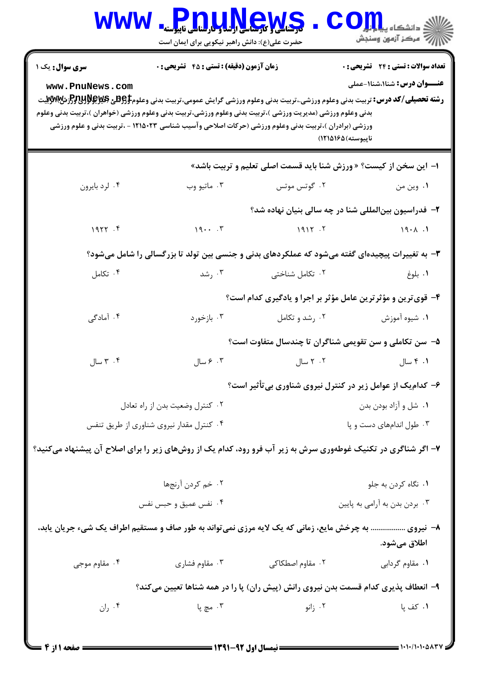| WWW                                                                                                                                                                                                                                                                                                                                                                                                                                                                                                                                                                        | <b>Pnullews</b><br>حضرت علی(ع): دانش راهبر نیکویی برای ایمان است                                             |                                                                   | ≦ دانشکاه پی <mark>ا با با</mark> ر |  |  |
|----------------------------------------------------------------------------------------------------------------------------------------------------------------------------------------------------------------------------------------------------------------------------------------------------------------------------------------------------------------------------------------------------------------------------------------------------------------------------------------------------------------------------------------------------------------------------|--------------------------------------------------------------------------------------------------------------|-------------------------------------------------------------------|-------------------------------------|--|--|
| <b>تعداد سوالات : تستی : 24 گشریحی : 0</b><br><b>زمان آزمون (دقیقه) : تستی : 45 تشریحی : 0</b><br><b>سری سوال :</b> یک ۱<br><b>عنـــوان درس:</b> شنا۱،شنا۱-عملی<br>www.PnuNews.com<br><b>رشته تحصیلی/کد درس:</b> تربیت بدنی وعلوم ورزشی.،تربیت بدنی وعلوم ورزشی گرایش عمومی،تربیت بدنی وعلوم9 <del>5Eپر PRپرEپرC</del> زشWWپتر<br>بدنی وعلوم ورزشی (مدیریت ورزشی )،تربیت بدنی وعلوم ورزشی،تربیت بدنی وعلوم ورزشی (خواهران )،تربیت بدنی وعلوم<br>ورزشی (برادران )،تربیت بدنی وعلوم ورزشی (حرکات اصلاحی وآسیب شناسی ۱۲۱۵۰۲۳ - ،تربیت بدنی و علوم ورزشی<br>ناپيوسته)۱۶۵(۱۲۱۵) |                                                                                                              |                                                                   |                                     |  |  |
|                                                                                                                                                                                                                                                                                                                                                                                                                                                                                                                                                                            |                                                                                                              | ۱– این سخن از کیست؟ « ورزش شنا باید قسمت اصلی تعلیم و تربیت باشد» |                                     |  |  |
| ۰۴ لرد بايرون                                                                                                                                                                                                                                                                                                                                                                                                                                                                                                                                                              | ۰۳ ماتيو وب                                                                                                  | ۰۲ گوتس موتس                                                      | ٠١. وين من                          |  |  |
|                                                                                                                                                                                                                                                                                                                                                                                                                                                                                                                                                                            | ۲- فدراسیون بینالمللی شنا در چه سالی بنیان نهاده شد؟                                                         |                                                                   |                                     |  |  |
| 1977.9                                                                                                                                                                                                                                                                                                                                                                                                                                                                                                                                                                     | 197                                                                                                          | 1917.7                                                            | $\overline{19.1}$                   |  |  |
| ۳- به تغییرات پیچیدهای گفته میشود که عملکردهای بدنی و جنسی بین تولد تا بزرگسالی را شامل میشود؟                                                                                                                                                                                                                                                                                                                                                                                                                                                                             |                                                                                                              |                                                                   |                                     |  |  |
| ۰۴ تکامل                                                                                                                                                                                                                                                                                                                                                                                                                                                                                                                                                                   | ۰۳ رشد                                                                                                       | ۰۲ تکامل شناختی                                                   | ٠١. بلوغ                            |  |  |
|                                                                                                                                                                                                                                                                                                                                                                                                                                                                                                                                                                            |                                                                                                              | ۴- قوی ترین و مؤثر ترین عامل مؤثر بر اجرا و یادگیری کدام است؟     |                                     |  |  |
| ۰۴ آمادگی                                                                                                                                                                                                                                                                                                                                                                                                                                                                                                                                                                  | ۰۳ بازخورد                                                                                                   | ۰۲ رشد و تکامل                                                    | ۰۱ شیوه آموزش                       |  |  |
|                                                                                                                                                                                                                                                                                                                                                                                                                                                                                                                                                                            |                                                                                                              | ۵- سن تکاملی و سن تقویمی شناگران تا چندسال متفاوت است؟            |                                     |  |  |
| ۰۴ سال                                                                                                                                                                                                                                                                                                                                                                                                                                                                                                                                                                     | ۰۳ مسال                                                                                                      | ۲. ۲ سال                                                          | ۰۱ ۴ سال                            |  |  |
|                                                                                                                                                                                                                                                                                                                                                                                                                                                                                                                                                                            |                                                                                                              | ۶- کدام یک از عوامل زیر در کنترل نیروی شناوری بی تأثیر است؟       |                                     |  |  |
| ۰۲ کنترل وضعیت بدن از راه تعادل                                                                                                                                                                                                                                                                                                                                                                                                                                                                                                                                            |                                                                                                              |                                                                   | ۰۱ شل و آزاد بودن بدن               |  |  |
| ۰۴ کنترل مقدار نیروی شناوری از طریق تنفس                                                                                                                                                                                                                                                                                                                                                                                                                                                                                                                                   |                                                                                                              | ۰۳ طول اندامهای دست و پا                                          |                                     |  |  |
|                                                                                                                                                                                                                                                                                                                                                                                                                                                                                                                                                                            | ۷- اگر شناگری در تکنیک غوطهوری سرش به زیر آب فرو رود، کدام یک از روشهای زیر را برای اصلاح آن پیشنهاد میکنید؟ |                                                                   |                                     |  |  |
|                                                                                                                                                                                                                                                                                                                                                                                                                                                                                                                                                                            | ۰۲ خم کردن آرنجها                                                                                            | ٠١ نگاه كردن به جلو                                               |                                     |  |  |
|                                                                                                                                                                                                                                                                                                                                                                                                                                                                                                                                                                            | ۰۴ نفس عمیق و حبس نفس                                                                                        | ۰۳ بردن بدن به آرامی به پایین                                     |                                     |  |  |
|                                                                                                                                                                                                                                                                                                                                                                                                                                                                                                                                                                            | ۸− نیروی  به چرخش مایع، زمانی که یک لایه مرزی نمیتواند به طور صاف و مستقیم اطراف یک شیء جریان یابد،          |                                                                   | اطلاق مىشود.                        |  |  |
| ۰۴ مقاوم موجی                                                                                                                                                                                                                                                                                                                                                                                                                                                                                                                                                              | ۰۳ مقاوم فشاری                                                                                               | ۰۲ مقاوم اصطکاکی                                                  | ٠١ مقاوم گردابي                     |  |  |
| ۹- انعطاف پذیری کدام قسمت بدن نیروی رانش (پیش ران) پا را در همه شناها تعیین میکند؟                                                                                                                                                                                                                                                                                                                                                                                                                                                                                         |                                                                                                              |                                                                   |                                     |  |  |
| ۰۴ ران                                                                                                                                                                                                                                                                                                                                                                                                                                                                                                                                                                     | ۰۳ مچ پا                                                                                                     | ۰۲ زانو                                                           | ۰۱ کف پا                            |  |  |
|                                                                                                                                                                                                                                                                                                                                                                                                                                                                                                                                                                            |                                                                                                              |                                                                   |                                     |  |  |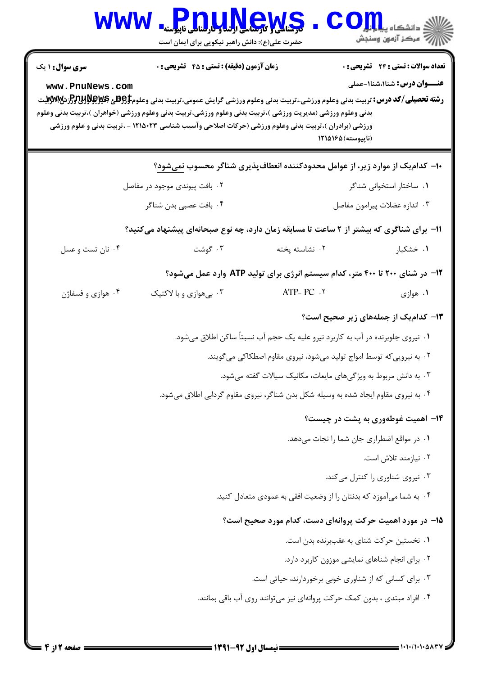| <b>WWW</b>                                                                                                                              | <b>Pnu,u,News</b><br>حضرت علی(ع): دانش راهبر نیکویی برای ایمان است                                                                                                                                                                                                                                                                                                                                                    |                                                                              | ≦ دانشکاه پ <b>یا ی<sup>ا</sup> با<mark>و</mark></b><br>أأأآه مركز آزمون وسنجش      |  |
|-----------------------------------------------------------------------------------------------------------------------------------------|-----------------------------------------------------------------------------------------------------------------------------------------------------------------------------------------------------------------------------------------------------------------------------------------------------------------------------------------------------------------------------------------------------------------------|------------------------------------------------------------------------------|-------------------------------------------------------------------------------------|--|
| <b>سری سوال : ۱ یک</b><br>www.PnuNews.com                                                                                               | <b>زمان آزمون (دقیقه) : تستی : 45 تشریحی : 0</b><br><b>رشته تحصیلی/کد درس:</b> تربیت بدنی وعلوم ورزشی.،تربیت بدنی وعلوم ورزشی گرایش عمومی،تربیت بدنی وعلوم\$ <del>PU3</del> لاق&و\$PU3لرش&WWتيت<br>بدنی وعلوم ورزشی (مدیریت ورزشی )،تربیت بدنی وعلوم ورزشی،تربیت بدنی وعلوم ورزشی (خواهران )،تربیت بدنی وعلوم<br>ورزشی (برادران )،تربیت بدنی وعلوم ورزشی (حرکات اصلاحی وآسیب شناسی ۱۲۱۵۰۲۳ - ،تربیت بدنی و علوم ورزشی | (ناپیوسته) ۱۲۱۵۱۶۵                                                           | <b>تعداد سوالات : تستی : 24 - تشریحی : 0</b><br><b>عنـــوان درس:</b> شنا۱،شنا۱-عملی |  |
|                                                                                                                                         |                                                                                                                                                                                                                                                                                                                                                                                                                       | ۱۰– کدامیک از موارد زیر، از عوامل محدودکننده انعطافپذیری شناگر محسوب نمیشود؟ |                                                                                     |  |
| ۰۲ بافت پیوندی موجود در مفاصل                                                                                                           |                                                                                                                                                                                                                                                                                                                                                                                                                       | ۰۱ ساختار استخوانی شناگر                                                     |                                                                                     |  |
|                                                                                                                                         | ۰۴ بافت عصبي بدن شناگر                                                                                                                                                                                                                                                                                                                                                                                                |                                                                              | ٠٣ اندازه عضلات پيرامون مفاصل                                                       |  |
| ۱۱– برای شناگری که بیشتر از ۲ ساعت تا مسابقه زمان دارد، چه نوع صبحانهای پیشنهاد میکنید؟                                                 |                                                                                                                                                                                                                                                                                                                                                                                                                       |                                                                              |                                                                                     |  |
| ۰۴ نان تست و عسل                                                                                                                        | ۰۳ گوشت                                                                                                                                                                                                                                                                                                                                                                                                               | ٠٢ نشاسته پخته                                                               | ۰۱ خشکبار                                                                           |  |
| ۱۲- در شنای ۲۰۰ تا ۴۰۰ متر، کدام سیستم انرژی برای تولید ATP وارد عمل میشود؟                                                             |                                                                                                                                                                                                                                                                                                                                                                                                                       |                                                                              |                                                                                     |  |
| ۰۴ هوازي و فسفاژن                                                                                                                       | ۰۳ بیهوازی و با لاکتیک                                                                                                                                                                                                                                                                                                                                                                                                | ATP- $PC.7$                                                                  | ۰۱ هوازي                                                                            |  |
|                                                                                                                                         |                                                                                                                                                                                                                                                                                                                                                                                                                       |                                                                              | ۱۳– کدام یک از جملههای زیر صحیح است؟                                                |  |
| ۰۱ نیروی جلوبرنده در آب به کاربرد نیرو علیه یک حجم آب نسبتاً ساکن اطلاق میشود.                                                          |                                                                                                                                                                                                                                                                                                                                                                                                                       |                                                                              |                                                                                     |  |
| ۲. به نیرویی که توسط امواج تولید میشود، نیروی مقاوم اصطکاکی می گویند.<br>۰۳ به دانش مربوط به ویژگیهای مایعات، مکانیک سیالات گفته میشود. |                                                                                                                                                                                                                                                                                                                                                                                                                       |                                                                              |                                                                                     |  |
|                                                                                                                                         |                                                                                                                                                                                                                                                                                                                                                                                                                       |                                                                              |                                                                                     |  |
| ۱۴- اهمیت غوطهوری به پشت در چیست؟                                                                                                       |                                                                                                                                                                                                                                                                                                                                                                                                                       |                                                                              |                                                                                     |  |
| ٠١ در مواقع اضطراري جان شما را نجات مي دهد.                                                                                             |                                                                                                                                                                                                                                                                                                                                                                                                                       |                                                                              |                                                                                     |  |
| ۰۲ نیازمند تلاش است.                                                                                                                    |                                                                                                                                                                                                                                                                                                                                                                                                                       |                                                                              |                                                                                     |  |
| ۰۳ نیروی شناوری را کنترل میکند.                                                                                                         |                                                                                                                                                                                                                                                                                                                                                                                                                       |                                                                              |                                                                                     |  |
| ۰۴ به شما میآموزد که بدنتان را از وضعیت افقی به عمودی متعادل کنید.                                                                      |                                                                                                                                                                                                                                                                                                                                                                                                                       |                                                                              |                                                                                     |  |
| ۱۵– در مورد اهمیت حرکت پروانهای دست، کدام مورد صحیح است؟                                                                                |                                                                                                                                                                                                                                                                                                                                                                                                                       |                                                                              |                                                                                     |  |
| ٠١ نخستين حركت شناي به عقببرنده بدن است.                                                                                                |                                                                                                                                                                                                                                                                                                                                                                                                                       |                                                                              |                                                                                     |  |
| ٠٢ براي انجام شناهاي نمايشي موزون كاربرد دارد.                                                                                          |                                                                                                                                                                                                                                                                                                                                                                                                                       |                                                                              |                                                                                     |  |
| ۰۳ برای کسانی که از شناوری خوبی برخوردارند، حیاتی است.                                                                                  |                                                                                                                                                                                                                                                                                                                                                                                                                       |                                                                              |                                                                                     |  |
| ۰۴ افراد مبتدی ، بدون کمک حرکت پروانهای نیز میتوانند روی آب باقی بمانند.                                                                |                                                                                                                                                                                                                                                                                                                                                                                                                       |                                                                              |                                                                                     |  |
|                                                                                                                                         |                                                                                                                                                                                                                                                                                                                                                                                                                       |                                                                              |                                                                                     |  |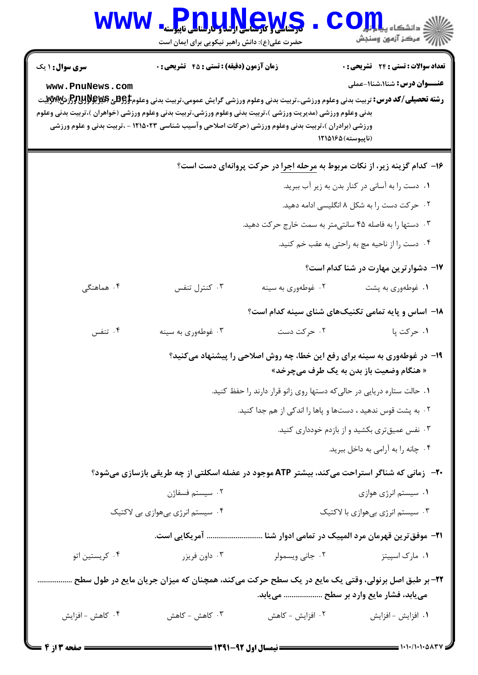